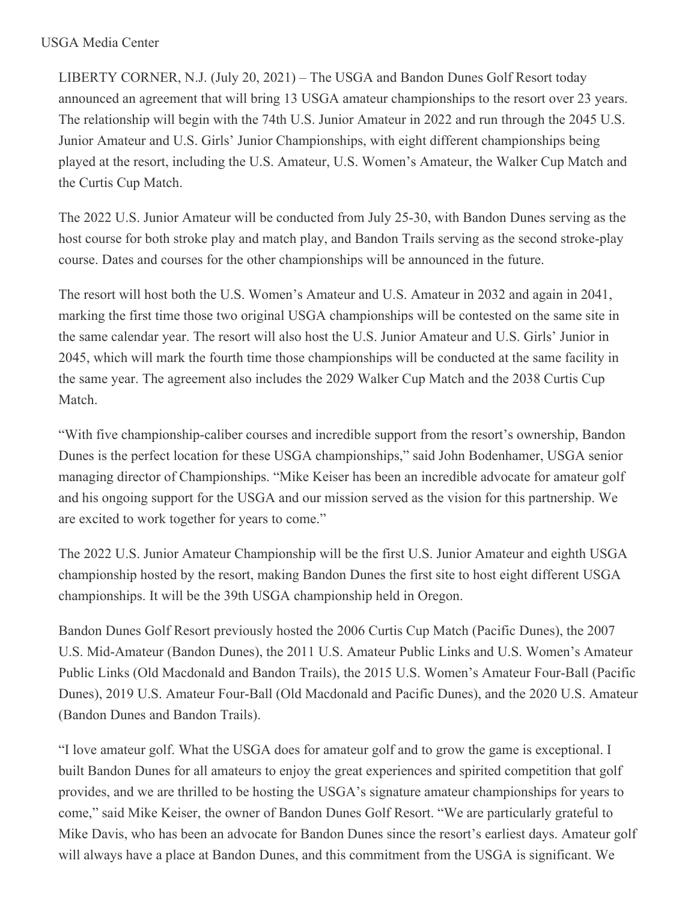## USGA Media Center

LIBERTY CORNER, N.J. (July 20, 2021) – The USGA and Bandon Dunes Golf Resort today announced an agreement that will bring 13 USGA amateur championships to the resort over 23 years. The relationship will begin with the 74th U.S. Junior Amateur in 2022 and run through the 2045 U.S. Junior Amateur and U.S. Girls' Junior Championships, with eight different championships being played at the resort, including the U.S. Amateur, U.S. Women's Amateur, the Walker Cup Match and the Curtis Cup Match.

The 2022 U.S. Junior Amateur will be conducted from July 25-30, with Bandon Dunes serving as the host course for both stroke play and match play, and Bandon Trails serving as the second stroke-play course. Dates and courses for the other championships will be announced in the future.

The resort will host both the U.S. Women's Amateur and U.S. Amateur in 2032 and again in 2041, marking the first time those two original USGA championships will be contested on the same site in the same calendar year. The resort will also host the U.S. Junior Amateur and U.S. Girls' Junior in 2045, which will mark the fourth time those championships will be conducted at the same facility in the same year. The agreement also includes the 2029 Walker Cup Match and the 2038 Curtis Cup Match.

"With five championship-caliber courses and incredible support from the resort's ownership, Bandon Dunes is the perfect location for these USGA championships," said John Bodenhamer, USGA senior managing director of Championships. "Mike Keiser has been an incredible advocate for amateur golf and his ongoing support for the USGA and our mission served as the vision for this partnership. We are excited to work together for years to come."

The 2022 U.S. Junior Amateur Championship will be the first U.S. Junior Amateur and eighth USGA championship hosted by the resort, making Bandon Dunes the first site to host eight different USGA championships. It will be the 39th USGA championship held in Oregon.

Bandon Dunes Golf Resort previously hosted the 2006 Curtis Cup Match (Pacific Dunes), the 2007 U.S. Mid-Amateur (Bandon Dunes), the 2011 U.S. Amateur Public Links and U.S. Women's Amateur Public Links (Old Macdonald and Bandon Trails), the 2015 U.S. Women's Amateur Four-Ball (Pacific Dunes), 2019 U.S. Amateur Four-Ball (Old Macdonald and Pacific Dunes), and the 2020 U.S. Amateur (Bandon Dunes and Bandon Trails).

"I love amateur golf. What the USGA does for amateur golf and to grow the game is exceptional. I built Bandon Dunes for all amateurs to enjoy the great experiences and spirited competition that golf provides, and we are thrilled to be hosting the USGA's signature amateur championships for years to come," said Mike Keiser, the owner of Bandon Dunes Golf Resort. "We are particularly grateful to Mike Davis, who has been an advocate for Bandon Dunes since the resort's earliest days. Amateur golf will always have a place at Bandon Dunes, and this commitment from the USGA is significant. We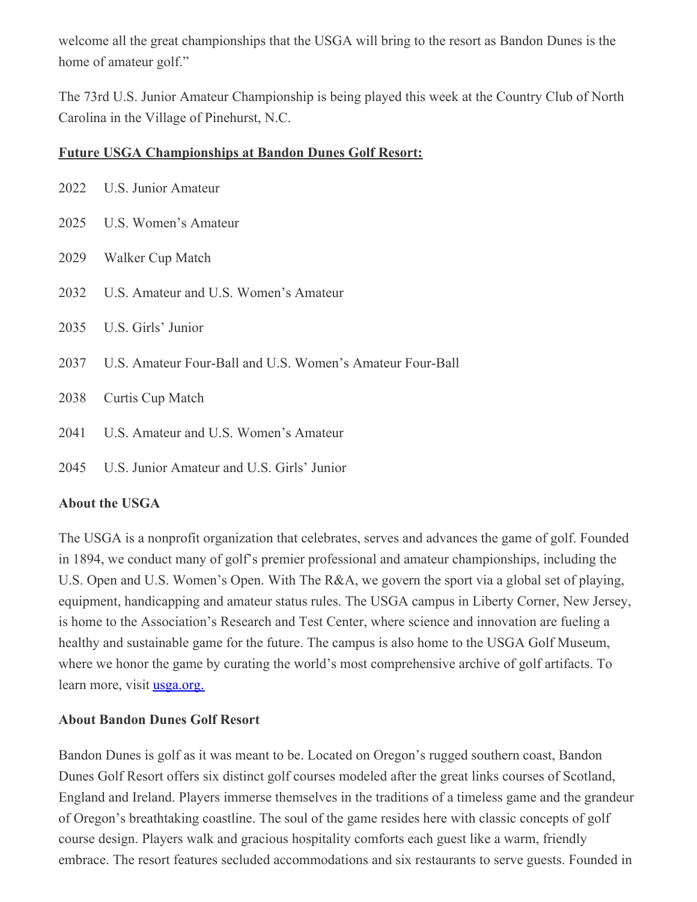welcome all the great championships that the USGA will bring to the resort as Bandon Dunes is the home of amateur golf."

The 73rd U.S. Junior Amateur Championship is being played this week at the Country Club of North Carolina in the Village of Pinehurst, N.C.

## **Future USGA Championships at Bandon Dunes Golf Resort:**

|      | 2022 U.S. Junior Amateur                                       |
|------|----------------------------------------------------------------|
|      | 2025 U.S. Women's Amateur                                      |
| 2029 | Walker Cup Match                                               |
|      | 2032 U.S. Amateur and U.S. Women's Amateur                     |
|      | 2035 U.S. Girls' Junior                                        |
|      | 2037 U.S. Amateur Four-Ball and U.S. Women's Amateur Four-Ball |
| 2038 | Curtis Cup Match                                               |
| 2041 | U.S. Amateur and U.S. Women's Amateur                          |
| 2045 | U.S. Junior Amateur and U.S. Girls' Junior                     |

## **About the USGA**

The USGA is a nonprofit organization that celebrates, serves and advances the game of golf. Founded in 1894, we conduct many of golf's premier professional and amateur championships, including the U.S. Open and U.S. Women's Open. With The R&A, we govern the sport via a global set of playing, equipment, handicapping and amateur status rules. The USGA campus in Liberty Corner, New Jersey, is home to the Association's Research and Test Center, where science and innovation are fueling a healthy and sustainable game for the future. The campus is also home to the USGA Golf Museum, where we honor the game by curating the world's most comprehensive archive of golf artifacts. To learn more, visit **[usga.org.](https://nam12.safelinks.protection.outlook.com/?url=https%3A%2F%2Fu7061146.ct.sendgrid.net%2Fls%2Fclick%3Fupn%3D4tNED-2FM8iDZJQyQ53jATUckPw-2BG0yLRy26nJ5jrR57IcqzHANnHDjOcQhrs7kU1rdfbTCvZyz52hltmdgUjUlet4hfVpkun6bUfLWb5Z2DHLBmgQ84HgJFsgZiTqRZEuzbpih7FsBh6rcjedQf8fAY-2B4yUTAVxHp2I-2BbHXUxwSlJGBtDZJin8T8juSRTt8cREZgdMcTLaCI6w-2Bi-2F9-2F7PE2yQREsmc2gy4RmJK1eXLVaNYlok7LCSDcRLbtfoln8bgb8ewcE6HppuS6uFTeM8xgtc1zD3sySdj0Jo2Vg46oTl26kGVZVMRbFE51-2FeBj0PvJht4yVFXk7EIeVPf0d9cVWCOIaZonYDY7RyqyytGcEWQDQWqrD81V6mDS9-2FTpzVlZ2KQls5WeO1QZXFw74THA-3D-3DPYtt_HSsC7-2BnYo6RFmdvmB8WxSwPfE5OKbL5GHwHc1Y4nlbMfxpPvmPmfuu2pbjSm-2FJs4CiDN-2BBwjEJj52CmYHMQwaCWnsJm7liBkUH3XLI0NRB2wv7RKQxmR-2FBhBT0PyfWjze5LZIdamLBprw-2Fsp4OcgYkgTi1w3d3VM2nsBy9oCzOZLaVshZDANfIsbuk8-2BIHyhlP0MA3xIH0AJ47NICufhbO8blSWoEHQ36qzfngzXVsO4xbWhvQI1sTpCAhSH7kjLh8f2-2FPAXXvjL905ZC5YNqVhWnLwGIGBqkRiHVlWqpsKJZo9YtPJcseEjybnsK3tbk6FMiKNCaQW1I8DQgu5E6DimTYVufvF3j5K6ZdVXD5E-3D&data=04%7C01%7Cjgeske%40usga.org%7Cfead8696936a4728e1b508d94b97b4fd%7C17abf7083a064391bdbd06808d1b9f81%7C0%7C0%7C637623937214852697%7CUnknown%7CTWFpbGZsb3d8eyJWIjoiMC4wLjAwMDAiLCJQIjoiV2luMzIiLCJBTiI6Ik1haWwiLCJXVCI6Mn0%3D%7C1000&sdata=wMp71an0SQanmpAWAM7Vb5jDKPbE0Xyzb%2FFcKHHN5Dg%3D&reserved=0)** 

## **About Bandon Dunes Golf Resort**

Bandon Dunes is golf as it was meant to be. Located on Oregon's rugged southern coast, Bandon Dunes Golf Resort offers six distinct golf courses modeled after the great links courses of Scotland, England and Ireland. Players immerse themselves in the traditions of a timeless game and the grandeur of Oregon's breathtaking coastline. The soul of the game resides here with classic concepts of golf course design. Players walk and gracious hospitality comforts each guest like a warm, friendly embrace. The resort features secluded accommodations and six restaurants to serve guests. Founded in